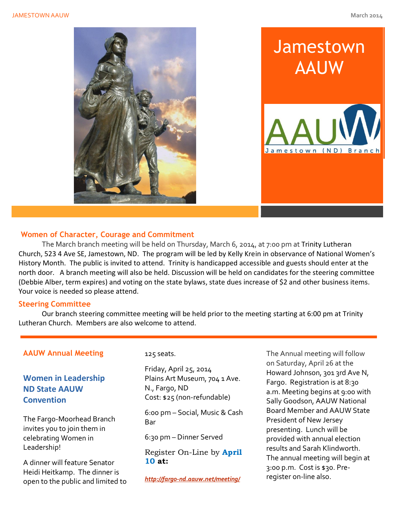





# **Women of Character, Courage and Commitment**

The March branch meeting will be held on Thursday, March 6, 2014, at 7:00 pm at Trinity Lutheran Church, 523 4 Ave SE, Jamestown, ND. The program will be led by Kelly Krein in observance of National Women's History Month. The public is invited to attend. Trinity is handicapped accessible and guests should enter at the north door. A branch meeting will also be held. Discussion will be held on candidates for the steering committee (Debbie Alber, term expires) and voting on the state bylaws, state dues increase of \$2 and other business items. Your voice is needed so please attend.

#### **Steering Committee**

Our branch steering committee meeting will be held prior to the meeting starting at 6:00 pm at Trinity Lutheran Church. Members are also welcome to attend.

## **AAUW Annual Meeting**

**Women in Leadership ND State AAUW Convention**

The Fargo-Moorhead Branch invites you to join them in celebrating Women in Leadership!

A dinner will feature Senator Heidi Heitkamp. The dinner is open to the public and limited to 125 seats.

Friday, April 25, 2014 Plains Art Museum, 704 1 Ave. N., Fargo, ND Cost: \$25 (non-refundable)

6:00 pm – Social, Music & Cash Bar

6:30 pm – Dinner Served

Register On-Line by **April 10 at:**

*<http://fargo-nd.aauw.net/meeting/>*

The Annual meeting will follow on Saturday, April 26 at the Howard Johnson, 301 3rd Ave N, Fargo. Registration is at 8:30 a.m. Meeting begins at 9:00 with Sally Goodson, AAUW National Board Member and AAUW State President of New Jersey presenting. Lunch will be provided with annual election results and Sarah Klindworth. The annual meeting will begin at 3:00 p.m. Cost is \$30. Preregister on-line also.